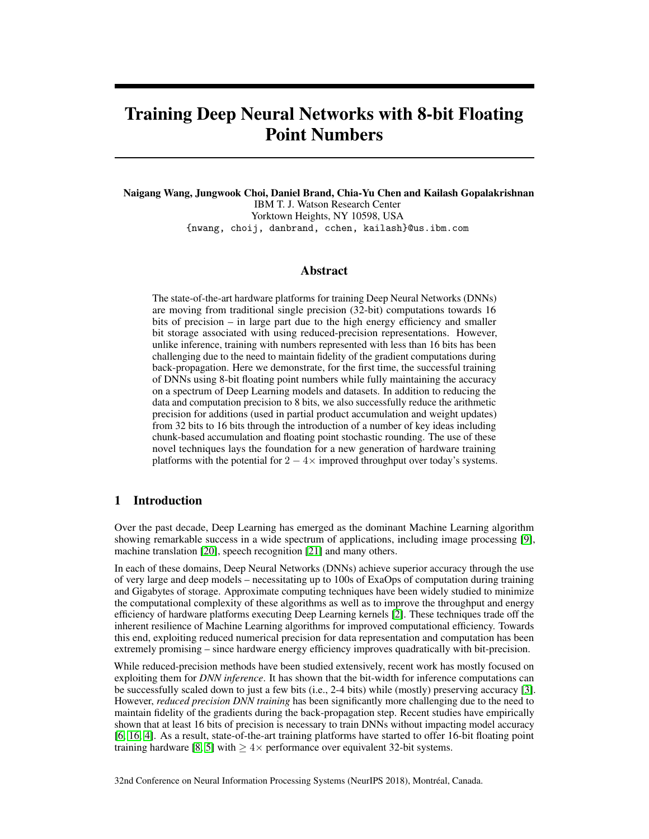# Training Deep Neural Networks with 8-bit Floating Point Numbers

Naigang Wang, Jungwook Choi, Daniel Brand, Chia-Yu Chen and Kailash Gopalakrishnan IBM T. J. Watson Research Center Yorktown Heights, NY 10598, USA {nwang, choij, danbrand, cchen, kailash}@us.ibm.com

## Abstract

The state-of-the-art hardware platforms for training Deep Neural Networks (DNNs) are moving from traditional single precision (32-bit) computations towards 16 bits of precision  $-$  in large part due to the high energy efficiency and smaller bit storage associated with using reduced-precision representations. However, unlike inference, training with numbers represented with less than 16 bits has been challenging due to the need to maintain fidelity of the gradient computations during back-propagation. Here we demonstrate, for the first time, the successful training of DNNs using 8-bit floating point numbers while fully maintaining the accuracy on a spectrum of Deep Learning models and datasets. In addition to reducing the data and computation precision to 8 bits, we also successfully reduce the arithmetic precision for additions (used in partial product accumulation and weight updates) from 32 bits to 16 bits through the introduction of a number of key ideas including chunk-based accumulation and floating point stochastic rounding. The use of these novel techniques lays the foundation for a new generation of hardware training platforms with the potential for  $2 - 4 \times$  improved throughput over today's systems.

# 1 Introduction

Over the past decade, Deep Learning has emerged as the dominant Machine Learning algorithm showing remarkable success in a wide spectrum of applications, including image processing [9], machine translation [20], speech recognition [21] and many others.

In each of these domains, Deep Neural Networks (DNNs) achieve superior accuracy through the use of very large and deep models – necessitating up to 100s of ExaOps of computation during training and Gigabytes of storage. Approximate computing techniques have been widely studied to minimize the computational complexity of these algorithms as well as to improve the throughput and energy efficiency of hardware platforms executing Deep Learning kernels [2]. These techniques trade off the inherent resilience of Machine Learning algorithms for improved computational efficiency. Towards this end, exploiting reduced numerical precision for data representation and computation has been extremely promising – since hardware energy efficiency improves quadratically with bit-precision.

While reduced-precision methods have been studied extensively, recent work has mostly focused on exploiting them for *DNN inference*. It has shown that the bit-width for inference computations can be successfully scaled down to just a few bits (i.e., 2-4 bits) while (mostly) preserving accuracy [3]. However, *reduced precision DNN training* has been significantly more challenging due to the need to maintain fidelity of the gradients during the back-propagation step. Recent studies have empirically shown that at least 16 bits of precision is necessary to train DNNs without impacting model accuracy [6, 16, 4]. As a result, state-of-the-art training platforms have started to offer 16-bit floating point training hardware [8, 5] with  $\geq 4 \times$  performance over equivalent 32-bit systems.

32nd Conference on Neural Information Processing Systems (NeurIPS 2018), Montréal, Canada.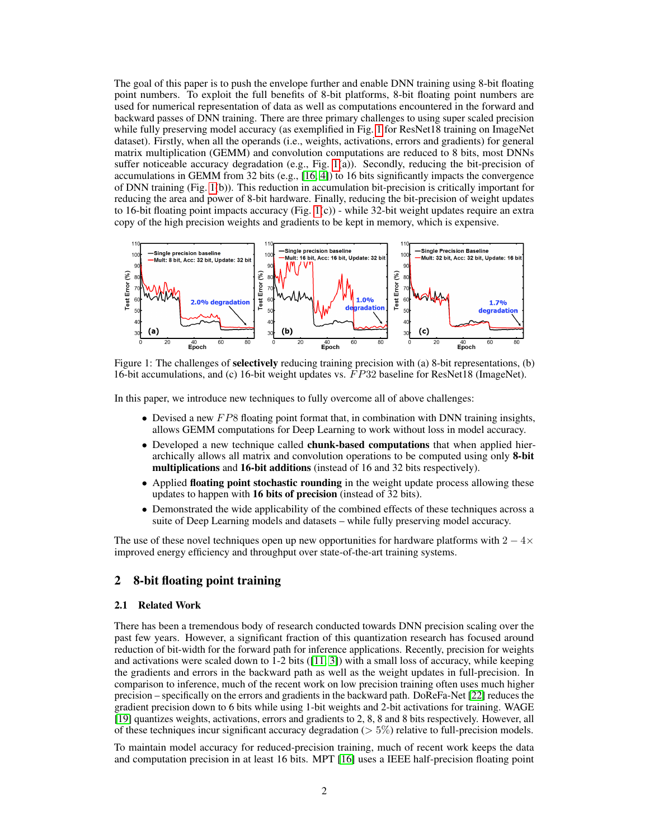The goal of this paper is to push the envelope further and enable DNN training using 8-bit floating point numbers. To exploit the full benefits of 8-bit platforms, 8-bit floating point numbers are used for numerical representation of data as well as computations encountered in the forward and backward passes of DNN training. There are three primary challenges to using super scaled precision while fully preserving model accuracy (as exemplified in Fig. 1 for ResNet18 training on ImageNet dataset). Firstly, when all the operands (i.e., weights, activations, errors and gradients) for general matrix multiplication (GEMM) and convolution computations are reduced to 8 bits, most DNNs suffer noticeable accuracy degradation (e.g., Fig. 1(a)). Secondly, reducing the bit-precision of accumulations in GEMM from 32 bits (e.g.,  $[16, 4]$ ) to 16 bits significantly impacts the convergence of DNN training (Fig. 1(b)). This reduction in accumulation bit-precision is critically important for reducing the area and power of 8-bit hardware. Finally, reducing the bit-precision of weight updates to 16-bit floating point impacts accuracy (Fig.  $1(c)$ ) - while 32-bit weight updates require an extra copy of the high precision weights and gradients to be kept in memory, which is expensive.



Figure 1: The challenges of **selectively** reducing training precision with (a) 8-bit representations, (b) 16-bit accumulations, and (c) 16-bit weight updates vs. F P32 baseline for ResNet18 (ImageNet).

In this paper, we introduce new techniques to fully overcome all of above challenges:

- Devised a new  $FP8$  floating point format that, in combination with DNN training insights, allows GEMM computations for Deep Learning to work without loss in model accuracy.
- Developed a new technique called **chunk-based computations** that when applied hierarchically allows all matrix and convolution operations to be computed using only 8-bit multiplications and 16-bit additions (instead of 16 and 32 bits respectively).
- Applied floating point stochastic rounding in the weight update process allowing these updates to happen with 16 bits of precision (instead of 32 bits).
- Demonstrated the wide applicability of the combined effects of these techniques across a suite of Deep Learning models and datasets – while fully preserving model accuracy.

The use of these novel techniques open up new opportunities for hardware platforms with  $2 - 4 \times$ improved energy efficiency and throughput over state-of-the-art training systems.

## 2 8-bit floating point training

## 2.1 Related Work

There has been a tremendous body of research conducted towards DNN precision scaling over the past few years. However, a significant fraction of this quantization research has focused around reduction of bit-width for the forward path for inference applications. Recently, precision for weights and activations were scaled down to 1-2 bits ([11, 3]) with a small loss of accuracy, while keeping the gradients and errors in the backward path as well as the weight updates in full-precision. In comparison to inference, much of the recent work on low precision training often uses much higher precision – specifically on the errors and gradients in the backward path. DoReFa-Net [22] reduces the gradient precision down to 6 bits while using 1-bit weights and 2-bit activations for training. WAGE [19] quantizes weights, activations, errors and gradients to 2, 8, 8 and 8 bits respectively. However, all of these techniques incur significant accuracy degradation ( $> 5\%$ ) relative to full-precision models.

To maintain model accuracy for reduced-precision training, much of recent work keeps the data and computation precision in at least 16 bits. MPT [16] uses a IEEE half-precision floating point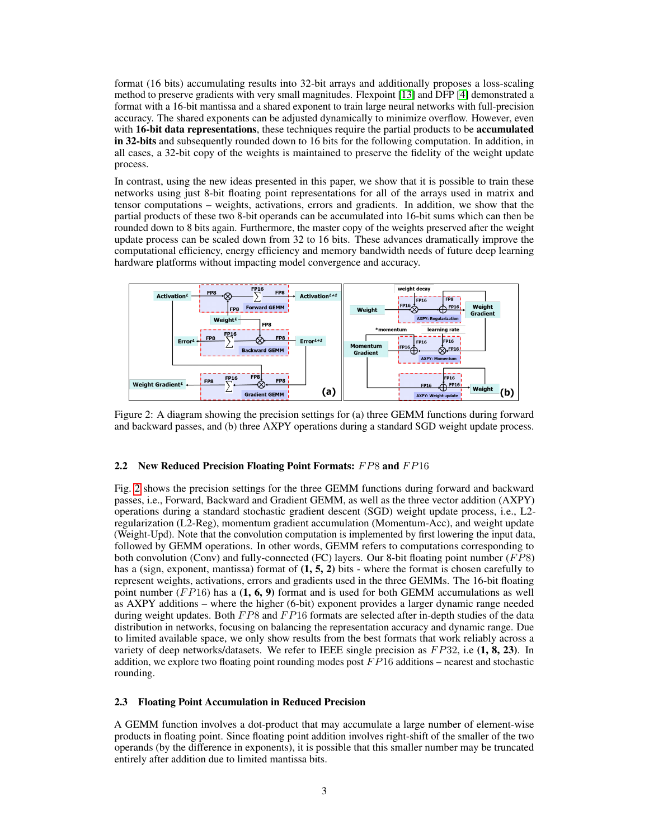format (16 bits) accumulating results into 32-bit arrays and additionally proposes a loss-scaling method to preserve gradients with very small magnitudes. Flexpoint [13] and DFP [4] demonstrated a format with a 16-bit mantissa and a shared exponent to train large neural networks with full-precision accuracy. The shared exponents can be adjusted dynamically to minimize overflow. However, even with 16-bit data representations, these techniques require the partial products to be accumulated in 32-bits and subsequently rounded down to 16 bits for the following computation. In addition, in all cases, a 32-bit copy of the weights is maintained to preserve the fidelity of the weight update process.

In contrast, using the new ideas presented in this paper, we show that it is possible to train these networks using just 8-bit floating point representations for all of the arrays used in matrix and tensor computations – weights, activations, errors and gradients. In addition, we show that the partial products of these two 8-bit operands can be accumulated into 16-bit sums which can then be rounded down to 8 bits again. Furthermore, the master copy of the weights preserved after the weight update process can be scaled down from 32 to 16 bits. These advances dramatically improve the computational efficiency, energy efficiency and memory bandwidth needs of future deep learning hardware platforms without impacting model convergence and accuracy.



Figure 2: A diagram showing the precision settings for (a) three GEMM functions during forward and backward passes, and (b) three AXPY operations during a standard SGD weight update process.

## 2.2 New Reduced Precision Floating Point Formats: FP8 and FP16

Fig. 2 shows the precision settings for the three GEMM functions during forward and backward passes, i.e., Forward, Backward and Gradient GEMM, as well as the three vector addition (AXPY) operations during a standard stochastic gradient descent (SGD) weight update process, i.e., L2 regularization (L2-Reg), momentum gradient accumulation (Momentum-Acc), and weight update (Weight-Upd). Note that the convolution computation is implemented by first lowering the input data, followed by GEMM operations. In other words, GEMM refers to computations corresponding to both convolution (Conv) and fully-connected (FC) layers. Our 8-bit floating point number (FP8) has a (sign, exponent, mantissa) format of  $(1, 5, 2)$  bits - where the format is chosen carefully to represent weights, activations, errors and gradients used in the three GEMMs. The 16-bit floating point number ( $FPI6$ ) has a (1, 6, 9) format and is used for both GEMM accumulations as well as AXPY additions – where the higher (6-bit) exponent provides a larger dynamic range needed during weight updates. Both  $FP8$  and  $FP16$  formats are selected after in-depth studies of the data distribution in networks, focusing on balancing the representation accuracy and dynamic range. Due to limited available space, we only show results from the best formats that work reliably across a variety of deep networks/datasets. We refer to IEEE single precision as  $FP32$ , i.e  $(1, 8, 23)$ . In addition, we explore two floating point rounding modes post  $FP16$  additions – nearest and stochastic rounding.

## 2.3 Floating Point Accumulation in Reduced Precision

A GEMM function involves a dot-product that may accumulate a large number of element-wise products in floating point. Since floating point addition involves right-shift of the smaller of the two operands (by the difference in exponents), it is possible that this smaller number may be truncated entirely after addition due to limited mantissa bits.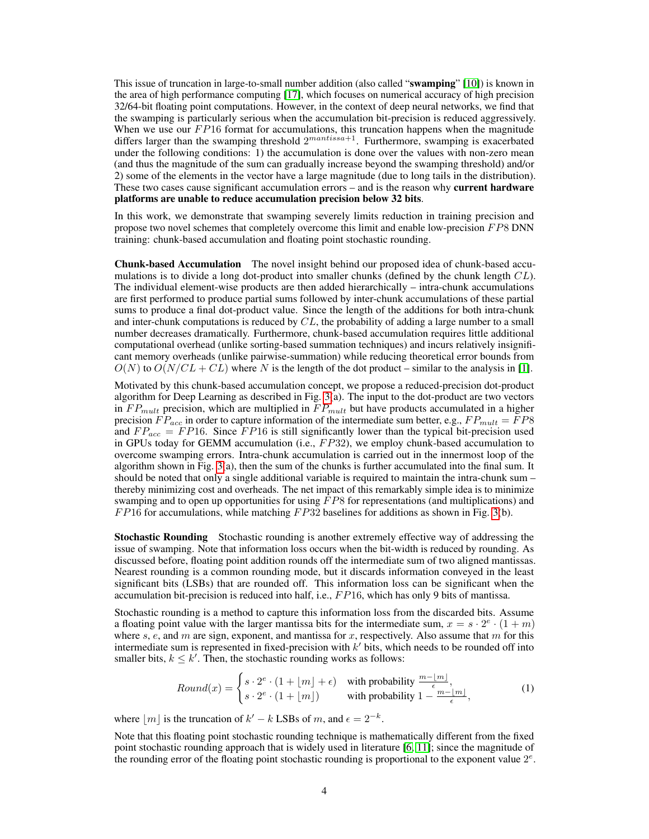This issue of truncation in large-to-small number addition (also called "swamping" [10]) is known in the area of high performance computing [17], which focuses on numerical accuracy of high precision 32/64-bit floating point computations. However, in the context of deep neural networks, we find that the swamping is particularly serious when the accumulation bit-precision is reduced aggressively. When we use our  $FP16$  format for accumulations, this truncation happens when the magnitude differs larger than the swamping threshold  $2^{mantissa+1}$ . Furthermore, swamping is exacerbated under the following conditions: 1) the accumulation is done over the values with non-zero mean (and thus the magnitude of the sum can gradually increase beyond the swamping threshold) and/or 2) some of the elements in the vector have a large magnitude (due to long tails in the distribution). These two cases cause significant accumulation errors – and is the reason why **current hardware** platforms are unable to reduce accumulation precision below 32 bits.

In this work, we demonstrate that swamping severely limits reduction in training precision and propose two novel schemes that completely overcome this limit and enable low-precision FP8 DNN training: chunk-based accumulation and floating point stochastic rounding.

Chunk-based Accumulation The novel insight behind our proposed idea of chunk-based accumulations is to divide a long dot-product into smaller chunks (defined by the chunk length  $CL$ ). The individual element-wise products are then added hierarchically – intra-chunk accumulations are first performed to produce partial sums followed by inter-chunk accumulations of these partial sums to produce a final dot-product value. Since the length of the additions for both intra-chunk and inter-chunk computations is reduced by  $CL$ , the probability of adding a large number to a small number decreases dramatically. Furthermore, chunk-based accumulation requires little additional computational overhead (unlike sorting-based summation techniques) and incurs relatively insignificant memory overheads (unlike pairwise-summation) while reducing theoretical error bounds from  $O(N)$  to  $O(N/CL + CL)$  where N is the length of the dot product – similar to the analysis in [1].

Motivated by this chunk-based accumulation concept, we propose a reduced-precision dot-product algorithm for Deep Learning as described in Fig. 3(a). The input to the dot-product are two vectors in  $FP_{mult}$  precision, which are multiplied in  $FP_{mult}$  but have products accumulated in a higher precision  $FP_{acc}$  in order to capture information of the intermediate sum better, e.g.,  $FP_{mult} = \overline{FP8}$ and  $FP_{acc} = FP16$ . Since  $FP16$  is still significantly lower than the typical bit-precision used in GPUs today for GEMM accumulation (i.e.,  $FP32$ ), we employ chunk-based accumulation to overcome swamping errors. Intra-chunk accumulation is carried out in the innermost loop of the algorithm shown in Fig. 3(a), then the sum of the chunks is further accumulated into the final sum. It should be noted that only a single additional variable is required to maintain the intra-chunk sum – thereby minimizing cost and overheads. The net impact of this remarkably simple idea is to minimize swamping and to open up opportunities for using  $FP8$  for representations (and multiplications) and  $FP16$  for accumulations, while matching  $FP32$  baselines for additions as shown in Fig. 3(b).

Stochastic Rounding Stochastic rounding is another extremely effective way of addressing the issue of swamping. Note that information loss occurs when the bit-width is reduced by rounding. As discussed before, floating point addition rounds off the intermediate sum of two aligned mantissas. Nearest rounding is a common rounding mode, but it discards information conveyed in the least significant bits (LSBs) that are rounded off. This information loss can be significant when the accumulation bit-precision is reduced into half, i.e.,  $FP16$ , which has only 9 bits of mantissa.

Stochastic rounding is a method to capture this information loss from the discarded bits. Assume a floating point value with the larger mantissa bits for the intermediate sum,  $x = s \cdot 2^e \cdot (1 + m)$ where s, e, and m are sign, exponent, and mantissa for x, respectively. Also assume that m for this intermediate sum is represented in fixed-precision with  $k'$  bits, which needs to be rounded off into smaller bits,  $k \leq k'$ . Then, the stochastic rounding works as follows:

$$
Round(x) = \begin{cases} s \cdot 2^e \cdot (1 + \lfloor m \rfloor + \epsilon) & \text{with probability } \frac{m - \lfloor m \rfloor}{\epsilon}, \\ s \cdot 2^e \cdot (1 + \lfloor m \rfloor) & \text{with probability } 1 - \frac{m - \lfloor m \rfloor}{\epsilon}, \end{cases} \tag{1}
$$

where  $\lfloor m \rfloor$  is the truncation of  $k' - k$  LSBs of m, and  $\epsilon = 2^{-k}$ .

Note that this floating point stochastic rounding technique is mathematically different from the fixed point stochastic rounding approach that is widely used in literature [6, 11]; since the magnitude of the rounding error of the floating point stochastic rounding is proportional to the exponent value  $2^e$ .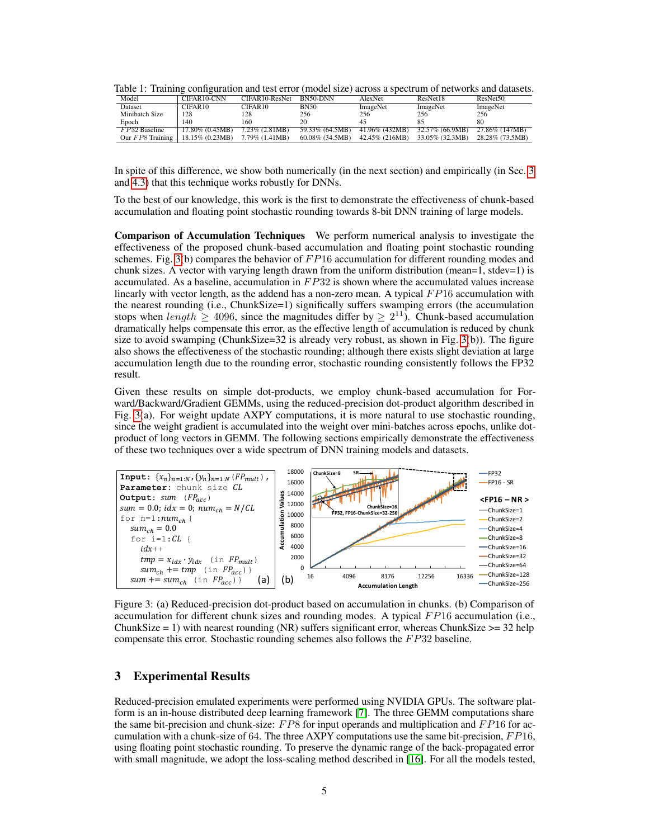|  | Table 1: Training configuration and test error (model size) across a spectrum of networks and datasets. |  |  |  |
|--|---------------------------------------------------------------------------------------------------------|--|--|--|
|  |                                                                                                         |  |  |  |

| Model              | CIFAR10-CNN     | CIFAR10-ResNet      | BN50-DNN           | AlexNet        | ResNet18        | ResNet <sub>50</sub> |
|--------------------|-----------------|---------------------|--------------------|----------------|-----------------|----------------------|
| Dataset            | CIFAR10         | CIFAR <sub>10</sub> | <b>BN50</b>        | ImageNet       | ImageNet        | ImageNet             |
| Minibatch Size     | 128             | 128                 | 256                | 256            | 256             | 256                  |
| Epoch              | 140             | 160                 | 20                 | 45             |                 | 80                   |
| $FP32$ Baseline    | 17.80% (0.45MB) | 7.23% (2.81MB)      | 59.33% (64.5MB)    | 41.96% (432MB) | 32.57% (66.9MB) | 27.86% (147MB)       |
| Our $FP8$ Training | 18.15% (0.23MB) | 7.79% (1.41MB)      | $60.08\%$ (34.5MB) | 42.45% (216MB) | 33.05% (32.3MB) | 28.28% (73.5MB)      |

In spite of this difference, we show both numerically (in the next section) and empirically (in Sec. 3 and 4.3) that this technique works robustly for DNNs.

To the best of our knowledge, this work is the first to demonstrate the effectiveness of chunk-based accumulation and floating point stochastic rounding towards 8-bit DNN training of large models.

Comparison of Accumulation Techniques We perform numerical analysis to investigate the effectiveness of the proposed chunk-based accumulation and floating point stochastic rounding schemes. Fig. 3(b) compares the behavior of  $FP16$  accumulation for different rounding modes and chunk sizes. A vector with varying length drawn from the uniform distribution (mean=1, stdev=1) is accumulated. As a baseline, accumulation in  $FP32$  is shown where the accumulated values increase linearly with vector length, as the addend has a non-zero mean. A typical  $FP16$  accumulation with the nearest rounding (i.e., ChunkSize=1) significally suffers swamping errors (the accumulation stops when length  $\geq 4096$ , since the magnitudes differ by  $\geq 2^{11}$ ). Chunk-based accumulation dramatically helps compensate this error, as the effective length of accumulation is reduced by chunk size to avoid swamping (ChunkSize=32 is already very robust, as shown in Fig. 3(b)). The figure also shows the effectiveness of the stochastic rounding; although there exists slight deviation at large accumulation length due to the rounding error, stochastic rounding consistently follows the FP32 result.

Given these results on simple dot-products, we employ chunk-based accumulation for Forward/Backward/Gradient GEMMs, using the reduced-precision dot-product algorithm described in Fig. 3(a). For weight update AXPY computations, it is more natural to use stochastic rounding, since the weight gradient is accumulated into the weight over mini-batches across epochs, unlike dotproduct of long vectors in GEMM. The following sections empirically demonstrate the effectiveness of these two techniques over a wide spectrum of DNN training models and datasets.



Figure 3: (a) Reduced-precision dot-product based on accumulation in chunks. (b) Comparison of accumulation for different chunk sizes and rounding modes. A typical  $FP16$  accumulation (i.e., ChunkSize = 1) with nearest rounding (NR) suffers significant error, whereas ChunkSize  $\geq$ = 32 help compensate this error. Stochastic rounding schemes also follows the FP32 baseline.

## 3 Experimental Results

Reduced-precision emulated experiments were performed using NVIDIA GPUs. The software platform is an in-house distributed deep learning framework [7]. The three GEMM computations share the same bit-precision and chunk-size:  $FP8$  for input operands and multiplication and  $FP16$  for accumulation with a chunk-size of 64. The three AXPY computations use the same bit-precision,  $FP16$ , using floating point stochastic rounding. To preserve the dynamic range of the back-propagated error with small magnitude, we adopt the loss-scaling method described in [16]. For all the models tested,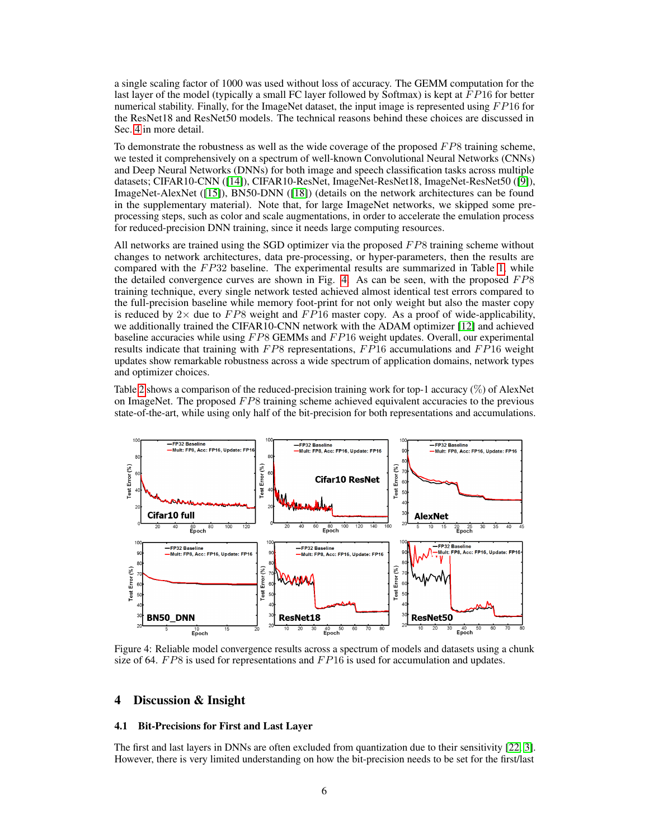a single scaling factor of 1000 was used without loss of accuracy. The GEMM computation for the last layer of the model (typically a small FC layer followed by Softmax) is kept at  $FP16$  for better numerical stability. Finally, for the ImageNet dataset, the input image is represented using  $FP16$  for the ResNet18 and ResNet50 models. The technical reasons behind these choices are discussed in Sec. 4 in more detail.

To demonstrate the robustness as well as the wide coverage of the proposed  $FP8$  training scheme, we tested it comprehensively on a spectrum of well-known Convolutional Neural Networks (CNNs) and Deep Neural Networks (DNNs) for both image and speech classification tasks across multiple datasets; CIFAR10-CNN ([14]), CIFAR10-ResNet, ImageNet-ResNet18, ImageNet-ResNet50 ([9]), ImageNet-AlexNet ([15]), BN50-DNN ([18]) (details on the network architectures can be found in the supplementary material). Note that, for large ImageNet networks, we skipped some preprocessing steps, such as color and scale augmentations, in order to accelerate the emulation process for reduced-precision DNN training, since it needs large computing resources.

All networks are trained using the SGD optimizer via the proposed  $FP8$  training scheme without changes to network architectures, data pre-processing, or hyper-parameters, then the results are compared with the  $FP32$  baseline. The experimental results are summarized in Table 1, while the detailed convergence curves are shown in Fig. 4. As can be seen, with the proposed  $FP8$ training technique, every single network tested achieved almost identical test errors compared to the full-precision baseline while memory foot-print for not only weight but also the master copy is reduced by  $2 \times$  due to  $FP8$  weight and  $FP16$  master copy. As a proof of wide-applicability, we additionally trained the CIFAR10-CNN network with the ADAM optimizer [12] and achieved baseline accuracies while using  $F \times B$  GEMMs and  $F \times P16$  weight updates. Overall, our experimental results indicate that training with  $FP8$  representations,  $FP16$  accumulations and  $FP16$  weight updates show remarkable robustness across a wide spectrum of application domains, network types and optimizer choices.

Table 2 shows a comparison of the reduced-precision training work for top-1 accuracy (%) of AlexNet on ImageNet. The proposed  $FP8$  training scheme achieved equivalent accuracies to the previous state-of-the-art, while using only half of the bit-precision for both representations and accumulations.



Figure 4: Reliable model convergence results across a spectrum of models and datasets using a chunk size of 64.  $FP8$  is used for representations and  $FP16$  is used for accumulation and updates.

# 4 Discussion & Insight

#### 4.1 Bit-Precisions for First and Last Layer

The first and last layers in DNNs are often excluded from quantization due to their sensitivity [22, 3]. However, there is very limited understanding on how the bit-precision needs to be set for the first/last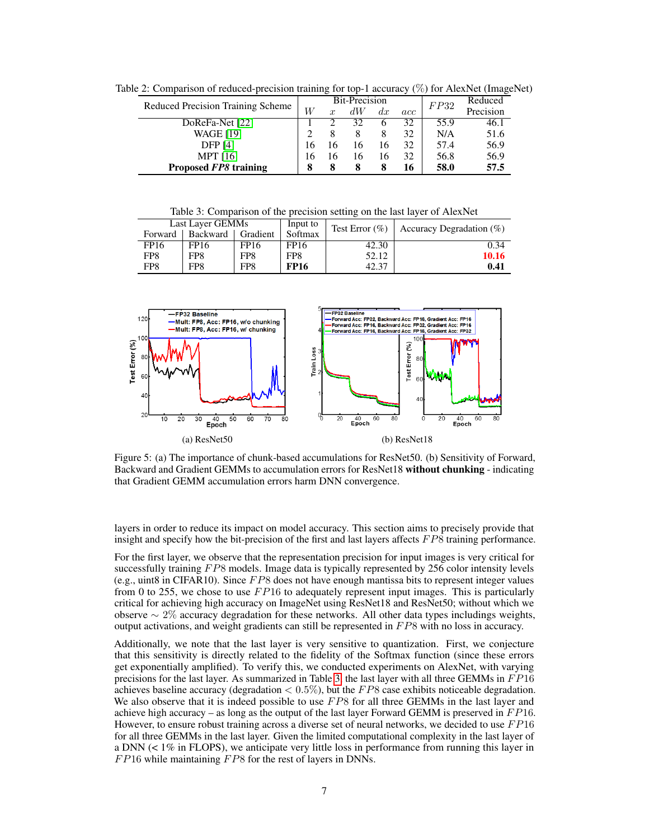|                                   |     | <b>Bit-Precision</b> |    |    |     | FP32 | Reduced   |
|-----------------------------------|-----|----------------------|----|----|-----|------|-----------|
| Reduced Precision Training Scheme | W   | $\boldsymbol{x}$     | dW | dx | acc |      | Precision |
| DoReFa-Net [22]                   |     |                      | 32 |    | 32  | 55.9 | 46.1      |
| <b>WAGE [19]</b>                  |     |                      |    |    | 32  | N/A  | 51.6      |
| <b>DFP</b> [4]                    | ۱6. |                      | 16 |    | 32  | 57.4 | 56.9      |
| <b>MPT</b> [16]                   | 16  |                      | 16 | 16 | 32  | 56.8 | 56.9      |
| Proposed FP8 training             | 8   |                      |    |    | 16  | 58.0 | 57.5      |

Table 2: Comparison of reduced-precision training for top-1 accuracy (%) for AlexNet (ImageNet)

Table 3: Comparison of the precision setting on the last layer of AlexNet

|         | Last Layer GEMMs    |                 | Input to    |       | Test Error $(\%)$   Accuracy Degradation $(\%)$ |
|---------|---------------------|-----------------|-------------|-------|-------------------------------------------------|
| Forward | Backward   Gradient |                 | Softmax     |       |                                                 |
| FP16    | FP16                | FP16            | FP16        | 42.30 | 0.34                                            |
| FP8     | FP <sub>8</sub>     | FP8             | FP8         | 52.12 | 10.16                                           |
| FP8     | FP <sub>8</sub>     | FP <sub>8</sub> | <b>FP16</b> | 42.37 | 0.41                                            |



Figure 5: (a) The importance of chunk-based accumulations for ResNet50. (b) Sensitivity of Forward, Backward and Gradient GEMMs to accumulation errors for ResNet18 without chunking - indicating that Gradient GEMM accumulation errors harm DNN convergence.

layers in order to reduce its impact on model accuracy. This section aims to precisely provide that insight and specify how the bit-precision of the first and last layers affects  $F\mathcal{P}8$  training performance.

For the first layer, we observe that the representation precision for input images is very critical for successfully training FP8 models. Image data is typically represented by 256 color intensity levels (e.g., uint8 in CIFAR10). Since  $FP8$  does not have enough mantissa bits to represent integer values from 0 to 255, we chose to use  $FP16$  to adequately represent input images. This is particularly critical for achieving high accuracy on ImageNet using ResNet18 and ResNet50; without which we observe  $\sim 2\%$  accuracy degradation for these networks. All other data types includings weights, output activations, and weight gradients can still be represented in F P8 with no loss in accuracy.

Additionally, we note that the last layer is very sensitive to quantization. First, we conjecture that this sensitivity is directly related to the fidelity of the Softmax function (since these errors get exponentially amplified). To verify this, we conducted experiments on AlexNet, with varying precisions for the last layer. As summarized in Table 3, the last layer with all three GEMMs in  $FP16$ achieves baseline accuracy (degradation  $< 0.5\%$ ), but the FP8 case exhibits noticeable degradation. We also observe that it is indeed possible to use  $FP8$  for all three GEMMs in the last layer and achieve high accuracy – as long as the output of the last layer Forward GEMM is preserved in  $FP16$ . However, to ensure robust training across a diverse set of neural networks, we decided to use  $FP16$ for all three GEMMs in the last layer. Given the limited computational complexity in the last layer of a DNN (< 1% in FLOPS), we anticipate very little loss in performance from running this layer in  $FP16$  while maintaining  $FP8$  for the rest of layers in DNNs.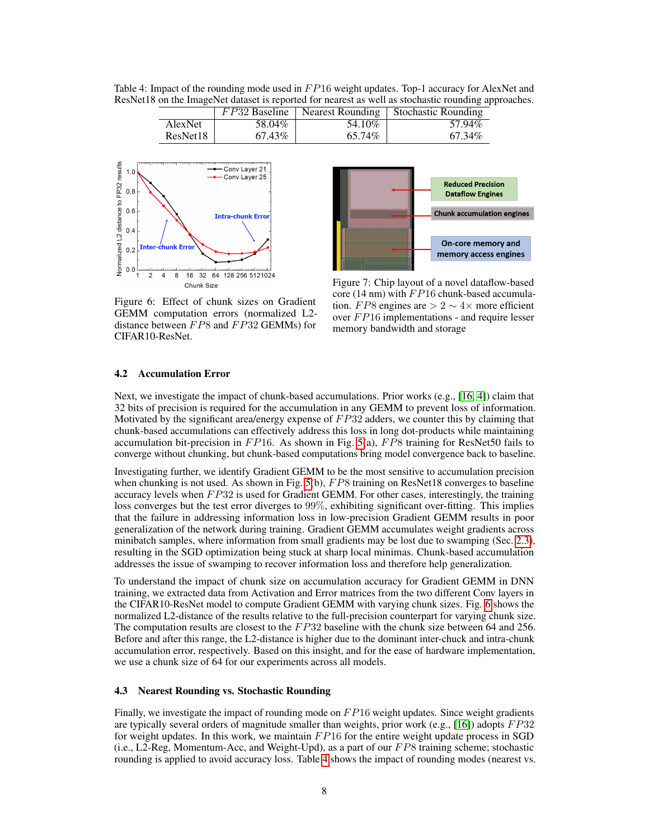Table 4: Impact of the rounding mode used in  $FP16$  weight updates. Top-1 accuracy for AlexNet and ResNet18 on the ImageNet dataset is reported for nearest as well as stochastic rounding approaches.

|          |        |         | $FP32$ Baseline   Nearest Rounding   Stochastic Rounding |
|----------|--------|---------|----------------------------------------------------------|
| AlexNet  | 58.04% | 54.10\% | 57.94%                                                   |
| ResNet18 | 67.43% | 65.74%  | 67.34%                                                   |



**Reduced Precision Dataflow Engines Chunk accumulation engines** On-core memory and memory access engines

Figure 6: Effect of chunk sizes on Gradient GEMM computation errors (normalized L2 distance between  $FP8$  and  $FP32$  GEMMs) for CIFAR10-ResNet.

Figure 7: Chip layout of a novel dataflow-based core (14 nm) with  $FP16$  chunk-based accumulation. FP8 engines are  $> 2 \sim 4 \times$  more efficient over  $FP16$  implementations - and require lesser memory bandwidth and storage

### 4.2 Accumulation Error

Next, we investigate the impact of chunk-based accumulations. Prior works (e.g., [16, 4]) claim that 32 bits of precision is required for the accumulation in any GEMM to prevent loss of information. Motivated by the significant area/energy expense of  $FP32$  adders, we counter this by claiming that chunk-based accumulations can effectively address this loss in long dot-products while maintaining accumulation bit-precision in  $FP16$ . As shown in Fig. 5(a),  $FP8$  training for ResNet50 fails to converge without chunking, but chunk-based computations bring model convergence back to baseline.

Investigating further, we identify Gradient GEMM to be the most sensitive to accumulation precision when chunking is not used. As shown in Fig.  $5(b)$ ,  $FP8$  training on ResNet18 converges to baseline accuracy levels when  $FP32$  is used for Gradient GEMM. For other cases, interestingly, the training loss converges but the test error diverges to 99%, exhibiting significant over-fitting. This implies that the failure in addressing information loss in low-precision Gradient GEMM results in poor generalization of the network during training. Gradient GEMM accumulates weight gradients across minibatch samples, where information from small gradients may be lost due to swamping (Sec. 2.3), resulting in the SGD optimization being stuck at sharp local minimas. Chunk-based accumulation addresses the issue of swamping to recover information loss and therefore help generalization.

To understand the impact of chunk size on accumulation accuracy for Gradient GEMM in DNN training, we extracted data from Activation and Error matrices from the two different Conv layers in the CIFAR10-ResNet model to compute Gradient GEMM with varying chunk sizes. Fig. 6 shows the normalized L2-distance of the results relative to the full-precision counterpart for varying chunk size. The computation results are closest to the  $FP32$  baseline with the chunk size between 64 and 256. Before and after this range, the L2-distance is higher due to the dominant inter-chuck and intra-chunk accumulation error, respectively. Based on this insight, and for the ease of hardware implementation, we use a chunk size of 64 for our experiments across all models.

## 4.3 Nearest Rounding vs. Stochastic Rounding

Finally, we investigate the impact of rounding mode on  $FP16$  weight updates. Since weight gradients are typically several orders of magnitude smaller than weights, prior work (e.g., [16]) adopts  $FP32$ for weight updates. In this work, we maintain  $FP16$  for the entire weight update process in SGD (i.e., L2-Reg, Momentum-Acc, and Weight-Upd), as a part of our  $FP8$  training scheme; stochastic rounding is applied to avoid accuracy loss. Table 4 shows the impact of rounding modes (nearest vs.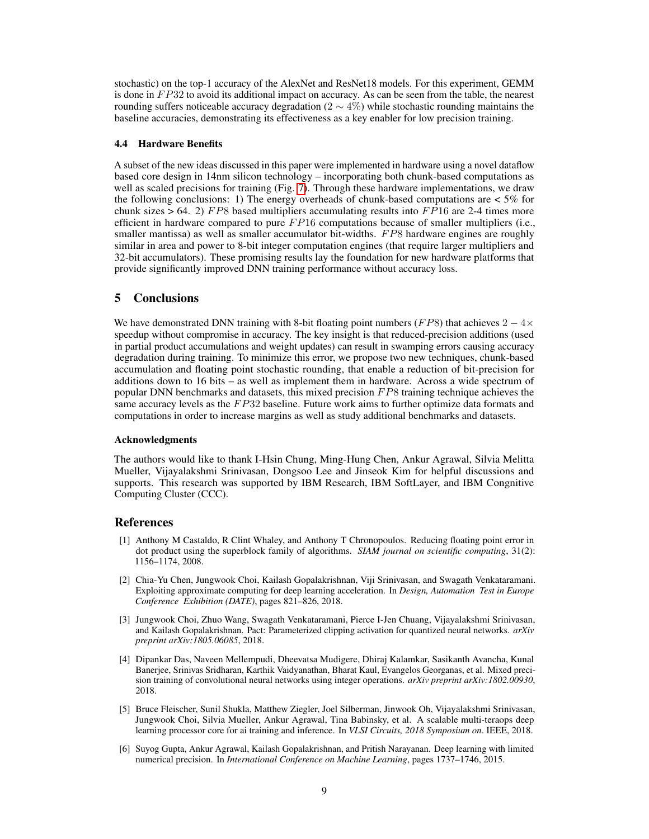stochastic) on the top-1 accuracy of the AlexNet and ResNet18 models. For this experiment, GEMM is done in  $FP32$  to avoid its additional impact on accuracy. As can be seen from the table, the nearest rounding suffers noticeable accuracy degradation (2  $\sim$  4%) while stochastic rounding maintains the baseline accuracies, demonstrating its effectiveness as a key enabler for low precision training.

## 4.4 Hardware Benefits

A subset of the new ideas discussed in this paper were implemented in hardware using a novel dataflow based core design in 14nm silicon technology – incorporating both chunk-based computations as well as scaled precisions for training (Fig. 7). Through these hardware implementations, we draw the following conclusions: 1) The energy overheads of chunk-based computations are  $< 5\%$  for chunk sizes  $> 64$ . 2) FP8 based multipliers accumulating results into FP16 are 2-4 times more efficient in hardware compared to pure  $FP16$  computations because of smaller multipliers (i.e., smaller mantissa) as well as smaller accumulator bit-widths. FP8 hardware engines are roughly similar in area and power to 8-bit integer computation engines (that require larger multipliers and 32-bit accumulators). These promising results lay the foundation for new hardware platforms that provide significantly improved DNN training performance without accuracy loss.

# 5 Conclusions

We have demonstrated DNN training with 8-bit floating point numbers (FP8) that achieves  $2 - 4 \times$ speedup without compromise in accuracy. The key insight is that reduced-precision additions (used in partial product accumulations and weight updates) can result in swamping errors causing accuracy degradation during training. To minimize this error, we propose two new techniques, chunk-based accumulation and floating point stochastic rounding, that enable a reduction of bit-precision for additions down to 16 bits – as well as implement them in hardware. Across a wide spectrum of popular DNN benchmarks and datasets, this mixed precision FP8 training technique achieves the same accuracy levels as the  $FP32$  baseline. Future work aims to further optimize data formats and computations in order to increase margins as well as study additional benchmarks and datasets.

#### Acknowledgments

The authors would like to thank I-Hsin Chung, Ming-Hung Chen, Ankur Agrawal, Silvia Melitta Mueller, Vijayalakshmi Srinivasan, Dongsoo Lee and Jinseok Kim for helpful discussions and supports. This research was supported by IBM Research, IBM SoftLayer, and IBM Congnitive Computing Cluster (CCC).

## References

- [1] Anthony M Castaldo, R Clint Whaley, and Anthony T Chronopoulos. Reducing floating point error in dot product using the superblock family of algorithms. *SIAM journal on scientific computing*, 31(2): 1156–1174, 2008.
- [2] Chia-Yu Chen, Jungwook Choi, Kailash Gopalakrishnan, Viji Srinivasan, and Swagath Venkataramani. Exploiting approximate computing for deep learning acceleration. In *Design, Automation Test in Europe Conference Exhibition (DATE)*, pages 821–826, 2018.
- [3] Jungwook Choi, Zhuo Wang, Swagath Venkataramani, Pierce I-Jen Chuang, Vijayalakshmi Srinivasan, and Kailash Gopalakrishnan. Pact: Parameterized clipping activation for quantized neural networks. *arXiv preprint arXiv:1805.06085*, 2018.
- [4] Dipankar Das, Naveen Mellempudi, Dheevatsa Mudigere, Dhiraj Kalamkar, Sasikanth Avancha, Kunal Banerjee, Srinivas Sridharan, Karthik Vaidyanathan, Bharat Kaul, Evangelos Georganas, et al. Mixed precision training of convolutional neural networks using integer operations. *arXiv preprint arXiv:1802.00930*, 2018.
- [5] Bruce Fleischer, Sunil Shukla, Matthew Ziegler, Joel Silberman, Jinwook Oh, Vijayalakshmi Srinivasan, Jungwook Choi, Silvia Mueller, Ankur Agrawal, Tina Babinsky, et al. A scalable multi-teraops deep learning processor core for ai training and inference. In *VLSI Circuits, 2018 Symposium on*. IEEE, 2018.
- [6] Suyog Gupta, Ankur Agrawal, Kailash Gopalakrishnan, and Pritish Narayanan. Deep learning with limited numerical precision. In *International Conference on Machine Learning*, pages 1737–1746, 2015.